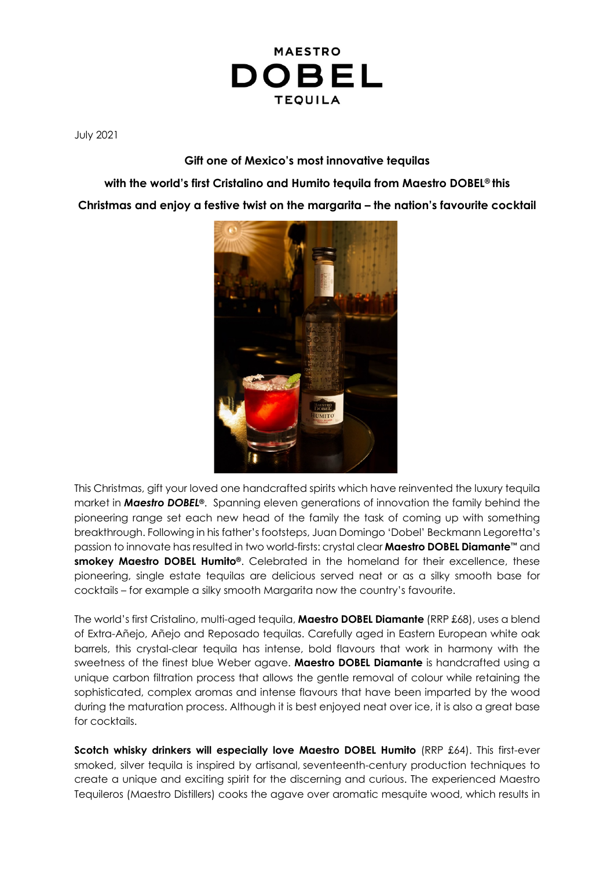

July 2021

**Gift one of Mexico's most innovative tequilas**

**with the world's first Cristalino and Humito tequila from Maestro DOBEL® this Christmas and enjoy a festive twist on the margarita – the nation's favourite cocktail**



This Christmas, gift your loved one handcrafted spirits which have reinvented the luxury tequila market in *Maestro DOBEL®*. Spanning eleven generations of innovation the family behind the pioneering range set each new head of the family the task of coming up with something breakthrough. Following in his father's footsteps, Juan Domingo 'Dobel' Beckmann Legoretta's passion to innovate has resulted in two world-firsts: crystal clear **Maestro DOBEL Diamante***™* and **smokey Maestro DOBEL Humito®**. Celebrated in the homeland for their excellence, these pioneering, single estate tequilas are delicious served neat or as a silky smooth base for cocktails – for example a silky smooth Margarita now the country's favourite.

The world's first Cristalino, multi-aged tequila, **Maestro DOBEL Diamante** (RRP £68), uses a blend of Extra-Añejo, Añejo and Reposado tequilas. Carefully aged in Eastern European white oak barrels, this crystal-clear tequila has intense, bold flavours that work in harmony with the sweetness of the finest blue Weber agave. **Maestro DOBEL Diamante** is handcrafted using a unique carbon filtration process that allows the gentle removal of colour while retaining the sophisticated, complex aromas and intense flavours that have been imparted by the wood during the maturation process. Although it is best enjoyed neat over ice, it is also a great base for cocktails.

**Scotch whisky drinkers will especially love Maestro DOBEL Humito** (RRP £64). This first-ever smoked, silver tequila is inspired by artisanal, seventeenth-century production techniques to create a unique and exciting spirit for the discerning and curious. The experienced Maestro Tequileros (Maestro Distillers) cooks the agave over aromatic mesquite wood, which results in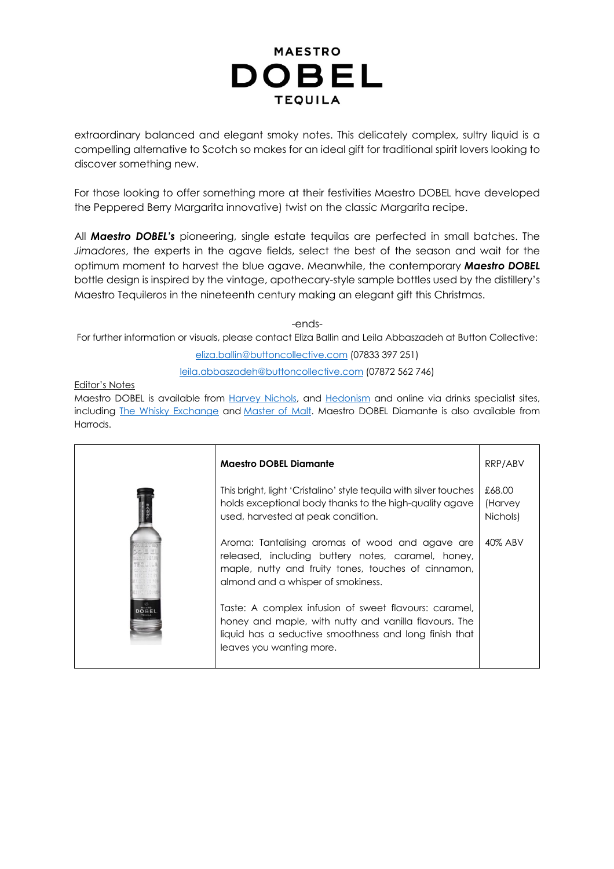## **MAESTRO DOBEL TEQUILA**

extraordinary balanced and elegant smoky notes. This delicately complex, sultry liquid is a compelling alternative to Scotch so makes for an ideal gift for traditional spirit lovers looking to discover something new.

For those looking to offer something more at their festivities Maestro DOBEL have developed the Peppered Berry Margarita innovative) twist on the classic Margarita recipe.

All *Maestro DOBEL's* pioneering, single estate tequilas are perfected in small batches. The *Jimadores*, the experts in the agave fields, select the best of the season and wait for the optimum moment to harvest the blue agave. Meanwhile, the contemporary *Maestro DOBEL* bottle design is inspired by the vintage, apothecary-style sample bottles used by the distillery's Maestro Tequileros in the nineteenth century making an elegant gift this Christmas.

-ends-

For further information or visuals, please contact Eliza Ballin and Leila Abbaszadeh at Button Collective:

eliza.ballin@buttoncollective.com (07833 397 251)

leila.abbaszadeh@buttoncollective.com (07872 562 746)

Editor's Notes

Maestro DOBEL is available from *Harvey Nichols*, and *Hedonism* and online via drinks specialist sites, including The Whisky Exchange and Master of Malt. Maestro DOBEL Diamante is also available from Harrods.

| <b>Maestro DOBEL Diamante</b>                                                                                                                                                                        | RRP/ABV                       |
|------------------------------------------------------------------------------------------------------------------------------------------------------------------------------------------------------|-------------------------------|
| This bright, light 'Cristalino' style tequila with silver touches<br>holds exceptional body thanks to the high-quality agave<br>used, harvested at peak condition.                                   | £68.00<br>(Harvey<br>Nichols) |
| Aroma: Tantalising aromas of wood and agave are<br>released, including buttery notes, caramel, honey,<br>maple, nutty and fruity tones, touches of cinnamon,<br>almond and a whisper of smokiness.   | 40% ABV                       |
| Taste: A complex infusion of sweet flavours: caramel,<br>honey and maple, with nutty and vanilla flavours. The<br>liquid has a seductive smoothness and long finish that<br>leaves you wanting more. |                               |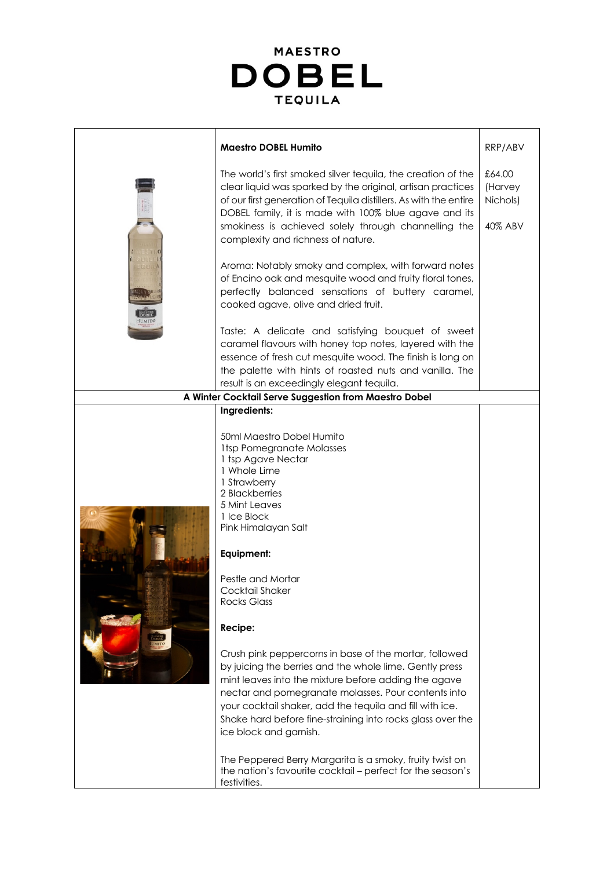

|                                                       | <b>Maestro DOBEL Humito</b>                                                                                                                                                                                                                                                                                                                                                                                                                                                                                                    | RRP/ABV                                  |
|-------------------------------------------------------|--------------------------------------------------------------------------------------------------------------------------------------------------------------------------------------------------------------------------------------------------------------------------------------------------------------------------------------------------------------------------------------------------------------------------------------------------------------------------------------------------------------------------------|------------------------------------------|
|                                                       | The world's first smoked silver tequila, the creation of the<br>clear liquid was sparked by the original, artisan practices<br>of our first generation of Tequila distillers. As with the entire<br>DOBEL family, it is made with 100% blue agave and its<br>smokiness is achieved solely through channelling the<br>complexity and richness of nature.                                                                                                                                                                        | £64.00<br>(Harvey<br>Nichols)<br>40% ABV |
|                                                       | Aroma: Notably smoky and complex, with forward notes<br>of Encino oak and mesquite wood and fruity floral tones,<br>perfectly balanced sensations of buttery caramel,<br>cooked agave, olive and dried fruit.                                                                                                                                                                                                                                                                                                                  |                                          |
|                                                       | Taste: A delicate and satisfying bouquet of sweet<br>caramel flavours with honey top notes, layered with the<br>essence of fresh cut mesquite wood. The finish is long on<br>the palette with hints of roasted nuts and vanilla. The                                                                                                                                                                                                                                                                                           |                                          |
|                                                       | result is an exceedingly elegant tequila.                                                                                                                                                                                                                                                                                                                                                                                                                                                                                      |                                          |
| A Winter Cocktail Serve Suggestion from Maestro Dobel |                                                                                                                                                                                                                                                                                                                                                                                                                                                                                                                                |                                          |
|                                                       | Ingredients:<br>50ml Maestro Dobel Humito<br><b>1tsp Pomegranate Molasses</b><br>1 tsp Agave Nectar<br>1 Whole Lime<br>1 Strawberry<br>2 Blackberries<br>5 Mint Leaves<br>1 Ice Block<br>Pink Himalayan Salt<br>Equipment:<br>Pestle and Mortar<br>Cocktail Shaker<br><b>Rocks Glass</b><br>Recipe:                                                                                                                                                                                                                            |                                          |
|                                                       | Crush pink peppercorns in base of the mortar, followed<br>by juicing the berries and the whole lime. Gently press<br>mint leaves into the mixture before adding the agave<br>nectar and pomegranate molasses. Pour contents into<br>your cocktail shaker, add the tequila and fill with ice.<br>Shake hard before fine-straining into rocks glass over the<br>ice block and garnish.<br>The Peppered Berry Margarita is a smoky, fruity twist on<br>the nation's favourite cocktail - perfect for the season's<br>festivities. |                                          |